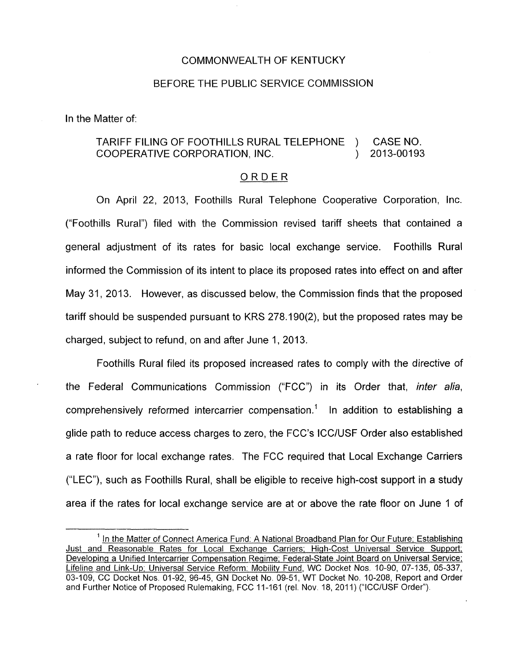## COMMONWEALTH OF KENTUCKY

## BEFORE THE PUBLIC SERVICE COMMISSION

In the Matter of:

## TARIFF FILING OF FOOTHILLS RURAL TELEPHONE ) CASE NO. COOPERATIVE CORPORATION, INC. ) 2013-00193

## ORDER

On April 22, 2013, Foothills Rural Telephone Cooperative Corporation, Inc. ("Foothills Rural") filed with the Commission revised tariff sheets that contained a general adjustment of its rates for basic local exchange service. Foothills Rural informed the Commission of its intent to place its proposed rates into effect on and after May 31, 2013. However, as discussed below, the Commission finds that the proposed tariff should be suspended pursuant to KRS 278.190(2), but the proposed rates may be charged, subject to refund, on and after June 1 , 2013.

Foothills Rural filed its proposed increased rates to comply with the directive of the Federal Communications Commission ("FCC") in its Order that, *inter alia,*  comprehensively reformed intercarrier compensation.' In addition to establishing a glide path to reduce access charges to zero, the FCC's ICC/USF Order also established a rate floor for local exchange rates. The FCC required that Local Exchange Carriers ("LEC"), such as Foothills Rural, shall be eligible to receive high-cost support in a study area if the rates for local exchange service are at or above the rate floor on June 1 of

<sup>&</sup>lt;sup>1</sup> In the Matter of Connect America Fund: A National Broadband Plan for Our Future; Establishing Just and Reasonable Rates for Local Exchanqe Carriers; Hiqh-Cost Universal Service Support; Developinq a Unified Intercarrier Compensation Reqime; Federal-State Joint Board on Universal Service; Lifeline and Link-Up; Universal Service Reform: Mobilitv Fund, WC Docket Nos. 10-90, 07-135, 05-337, 03-109, CC Docket Nos. 01-92, 96-45, GN Docket No. 09-51, WT Docket No. 10-208, Report and Order and Further Notice of Proposed Rulemaking, FCC 11-161 (rel. Nov. 18, 2011) ("ICC/USF Order").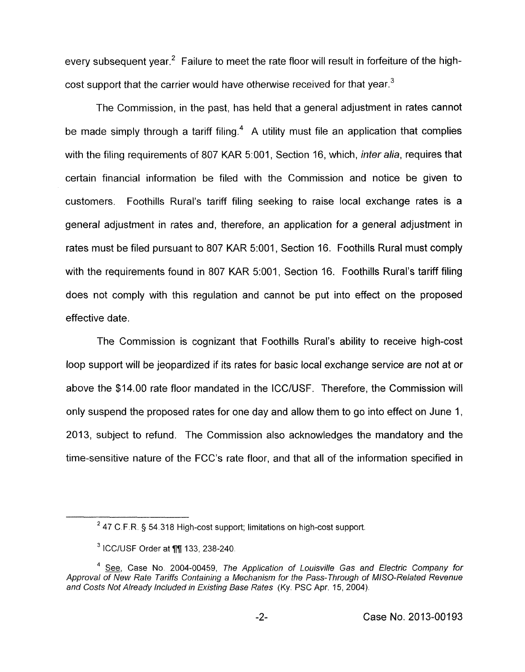every subsequent year.<sup>2</sup> Failure to meet the rate floor will result in forfeiture of the highcost support that the carrier would have otherwise received for that year. $3$ 

The Commission, in the past, has held that a general adjustment in rates cannot be made simply through a tariff filing.<sup>4</sup> A utility must file an application that complies with the filing requirements of 807 KAR 5:001, Section 16, which, *inter alia,* requires that certain financial information be filed with the Commission and notice be given to customers. Foothills Rural's tariff filing seeking to raise local exchange rates is a general adjustment in rates and, therefore, an application for a general adjustment in rates must be filed pursuant to 807 KAR 5:001, Section 16. Foothills Rural must comply with the requirements found in 807 KAR 5:001, Section 16. Foothills Rural's tariff filing does not comply with this regulation and cannot be put into effect on the proposed effective date.

The Commission is cognizant that Foothills Rural's ability to receive high-cost loop support will be jeopardized if its rates for basic local exchange service are not at or above the \$14.00 rate floor mandated in the ICCIUSF. Therefore, the Commission will only suspend the proposed rates for one day and allow them to go into effect on June 1, 2013, subject to refund. The Commission also acknowledges the mandatory and the time-sensitive nature of the FCC's rate floor, and that all of the information specified in

<sup>47</sup> C.F.R § 54.318 *High-cost support; limitations on high-cost support* **<sup>2</sup>**

ICC/USF *Order at* fin 133,238-240.

*See,* Case No. 2004-00459, *The Application of Louisville Gas and Electric Company for*  **4**  Approval of New Rate Tariffs Containing a Mechanism for the Pass- Through of MISO-Related Revenue *and Costs Not Already Included in Existing Base Rates* (Ky. PSC *Apr.* 15, 2004).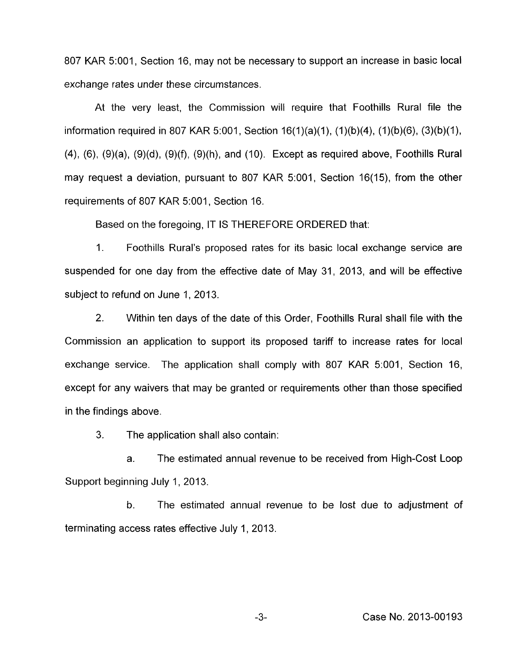807 KAR 5:001, Section 16, may not be necessary to support an increase in basic local exchange rates under these circumstances.

At the very least, the Commission will require that Foothills Rural file the information required in 807 KAR 5:001, Section  $16(1)(a)(1)$ ,  $(1)(b)(4)$ ,  $(1)(b)(6)$ ,  $(3)(b)(1)$ ,  $(4)$ ,  $(6)$ ,  $(9)(a)$ ,  $(9)(d)$ ,  $(9)(f)$ ,  $(9)(h)$ , and  $(10)$ . Except as required above, Foothills Rural may request a deviation, pursuant to 807 KAR 5:001, Section 16(15), from the other requirements of 807 KAR 5:001, Section 16.

Based on the foregoing, IT IS THEREFORE ORDERED that:

1. Foothills Rural's proposed rates for its basic local exchange service are suspended for one day from the effective date of May 31, 2013, and will be effective subject to refund on June 1, 2013.

2. Within ten days of the date of this Order, Foothills Rural shall file with the Commission an application to support its proposed tariff to increase rates for local exchange service. The application shall comply with 807 KAR 5:001, Section 16, except for any waivers that may be granted or requirements other than those specified in the findings above.

3. The application shall also contain:

a. The estimated annual revenue to be received from High-Cost Loop Support beginning July 1, 2013.

b. The estimated annual revenue to be lost due to adjustment of terminating access rates effective July 1, 2013.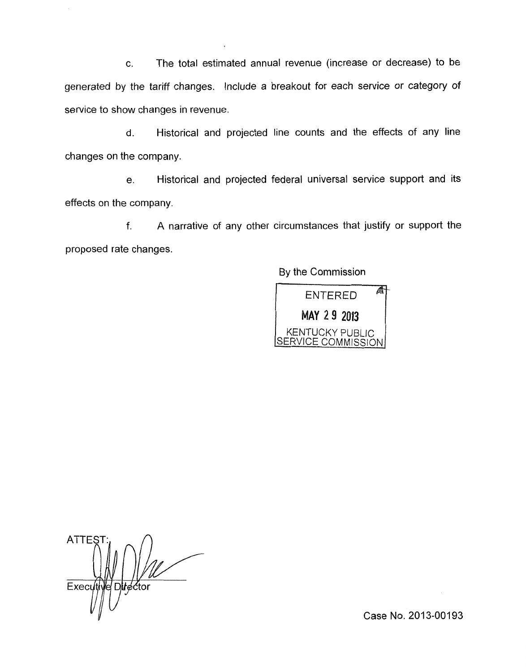c. The total estimated annual revenue (increase or decrease) to be generated by the tariff changes. Include a breakout for each service or category *of*  service to show changes in revenue.

d. Historical and projected line counts and the effects of any line changes on the company.

e. Historical and projected federal universal service support and its effects on the company.

f. A narrative of any other circumstances that justify or support the proposed rate changes.

By the Commission

AT **ENTERED** MAY 29 2013 KENTUCKY PUBLIC SERVICE COMMISSION

**ATTES** Executi el Dilrector

Case No. 2013-00193